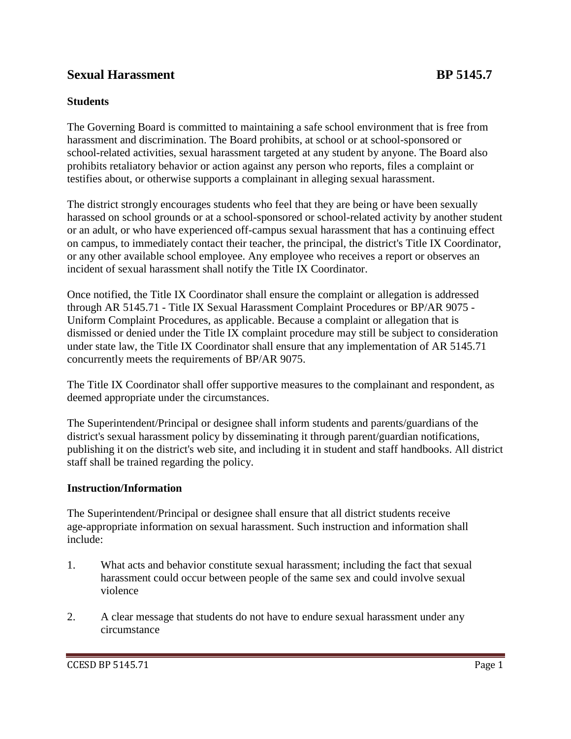### **Sexual Harassment BP 5145.7**

### **Students**

The Governing Board is committed to maintaining a safe school environment that is free from harassment and discrimination. The Board prohibits, at school or at school-sponsored or school-related activities, sexual harassment targeted at any student by anyone. The Board also prohibits retaliatory behavior or action against any person who reports, files a complaint or testifies about, or otherwise supports a complainant in alleging sexual harassment.

The district strongly encourages students who feel that they are being or have been sexually harassed on school grounds or at a school-sponsored or school-related activity by another student or an adult, or who have experienced off-campus sexual harassment that has a continuing effect on campus, to immediately contact their teacher, the principal, the district's Title IX Coordinator, or any other available school employee. Any employee who receives a report or observes an incident of sexual harassment shall notify the Title IX Coordinator.

Once notified, the Title IX Coordinator shall ensure the complaint or allegation is addressed through AR 5145.71 - Title IX Sexual Harassment Complaint Procedures or BP/AR 9075 - Uniform Complaint Procedures, as applicable. Because a complaint or allegation that is dismissed or denied under the Title IX complaint procedure may still be subject to consideration under state law, the Title IX Coordinator shall ensure that any implementation of AR 5145.71 concurrently meets the requirements of BP/AR 9075.

The Title IX Coordinator shall offer supportive measures to the complainant and respondent, as deemed appropriate under the circumstances.

The Superintendent/Principal or designee shall inform students and parents/guardians of the district's sexual harassment policy by disseminating it through parent/guardian notifications, publishing it on the district's web site, and including it in student and staff handbooks. All district staff shall be trained regarding the policy.

#### **Instruction/Information**

The Superintendent/Principal or designee shall ensure that all district students receive age-appropriate information on sexual harassment. Such instruction and information shall include:

- 1. What acts and behavior constitute sexual harassment; including the fact that sexual harassment could occur between people of the same sex and could involve sexual violence
- 2. A clear message that students do not have to endure sexual harassment under any circumstance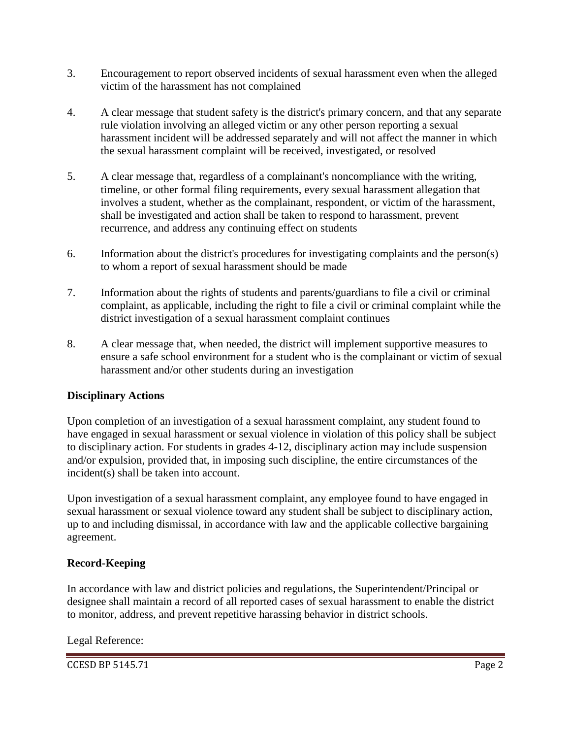- 3. Encouragement to report observed incidents of sexual harassment even when the alleged victim of the harassment has not complained
- 4. A clear message that student safety is the district's primary concern, and that any separate rule violation involving an alleged victim or any other person reporting a sexual harassment incident will be addressed separately and will not affect the manner in which the sexual harassment complaint will be received, investigated, or resolved
- 5. A clear message that, regardless of a complainant's noncompliance with the writing, timeline, or other formal filing requirements, every sexual harassment allegation that involves a student, whether as the complainant, respondent, or victim of the harassment, shall be investigated and action shall be taken to respond to harassment, prevent recurrence, and address any continuing effect on students
- 6. Information about the district's procedures for investigating complaints and the person(s) to whom a report of sexual harassment should be made
- 7. Information about the rights of students and parents/guardians to file a civil or criminal complaint, as applicable, including the right to file a civil or criminal complaint while the district investigation of a sexual harassment complaint continues
- 8. A clear message that, when needed, the district will implement supportive measures to ensure a safe school environment for a student who is the complainant or victim of sexual harassment and/or other students during an investigation

# **Disciplinary Actions**

Upon completion of an investigation of a sexual harassment complaint, any student found to have engaged in sexual harassment or sexual violence in violation of this policy shall be subject to disciplinary action. For students in grades 4-12, disciplinary action may include suspension and/or expulsion, provided that, in imposing such discipline, the entire circumstances of the incident(s) shall be taken into account.

Upon investigation of a sexual harassment complaint, any employee found to have engaged in sexual harassment or sexual violence toward any student shall be subject to disciplinary action, up to and including dismissal, in accordance with law and the applicable collective bargaining agreement.

# **Record-Keeping**

In accordance with law and district policies and regulations, the Superintendent/Principal or designee shall maintain a record of all reported cases of sexual harassment to enable the district to monitor, address, and prevent repetitive harassing behavior in district schools.

Legal Reference: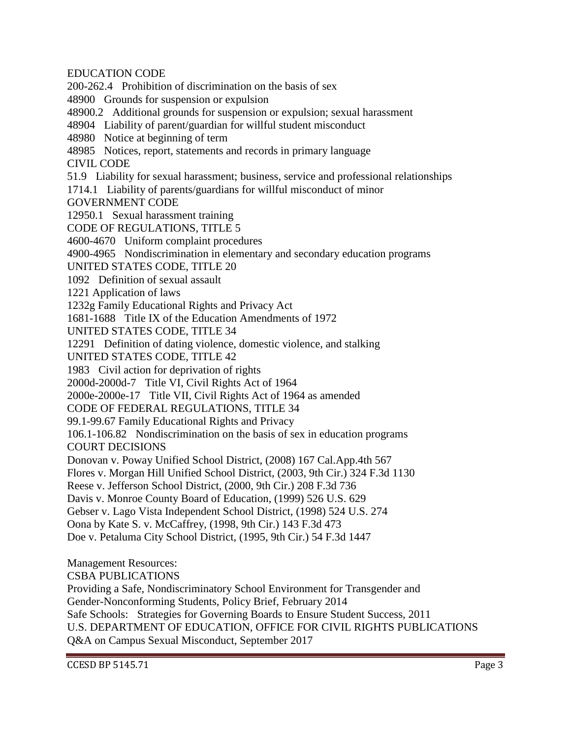EDUCATION CODE

200-262.4 Prohibition of discrimination on the basis of sex

48900 Grounds for suspension or expulsion

48900.2 Additional grounds for suspension or expulsion; sexual harassment

48904 Liability of parent/guardian for willful student misconduct

48980 Notice at beginning of term

48985 Notices, report, statements and records in primary language

CIVIL CODE

51.9 Liability for sexual harassment; business, service and professional relationships

1714.1 Liability of parents/guardians for willful misconduct of minor

GOVERNMENT CODE

12950.1 Sexual harassment training

CODE OF REGULATIONS, TITLE 5

4600-4670 Uniform complaint procedures

4900-4965 Nondiscrimination in elementary and secondary education programs

UNITED STATES CODE, TITLE 20

1092 Definition of sexual assault

1221 Application of laws

1232g Family Educational Rights and Privacy Act

1681-1688 Title IX of the Education Amendments of 1972

UNITED STATES CODE, TITLE 34

12291 Definition of dating violence, domestic violence, and stalking

UNITED STATES CODE, TITLE 42

1983 Civil action for deprivation of rights

2000d-2000d-7 Title VI, Civil Rights Act of 1964

2000e-2000e-17 Title VII, Civil Rights Act of 1964 as amended

CODE OF FEDERAL REGULATIONS, TITLE 34

99.1-99.67 Family Educational Rights and Privacy

106.1-106.82 Nondiscrimination on the basis of sex in education programs COURT DECISIONS

Donovan v. Poway Unified School District, (2008) 167 Cal.App.4th 567

Flores v. Morgan Hill Unified School District, (2003, 9th Cir.) 324 F.3d 1130

Reese v. Jefferson School District, (2000, 9th Cir.) 208 F.3d 736

Davis v. Monroe County Board of Education, (1999) 526 U.S. 629

Gebser v. Lago Vista Independent School District, (1998) 524 U.S. 274

Oona by Kate S. v. McCaffrey, (1998, 9th Cir.) 143 F.3d 473

Doe v. Petaluma City School District, (1995, 9th Cir.) 54 F.3d 1447

Management Resources:

CSBA PUBLICATIONS

Providing a Safe, Nondiscriminatory School Environment for Transgender and Gender-Nonconforming Students, Policy Brief, February 2014 Safe Schools: Strategies for Governing Boards to Ensure Student Success, 2011 U.S. DEPARTMENT OF EDUCATION, OFFICE FOR CIVIL RIGHTS PUBLICATIONS Q&A on Campus Sexual Misconduct, September 2017